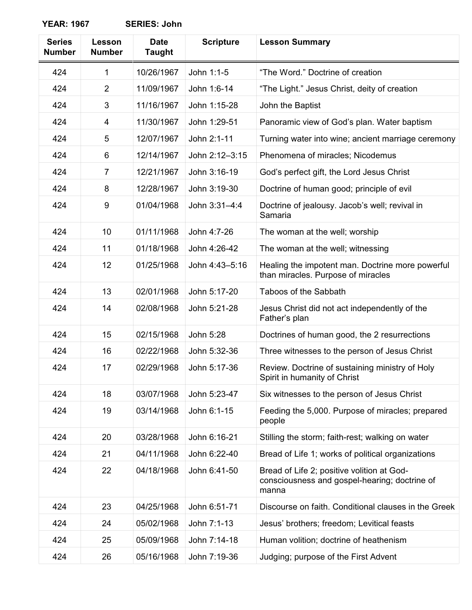| <b>Series</b> | <b>Lesson</b>  | <b>Date</b>   | <b>Scripture</b> | <b>Lesson Summary</b>                                                                                |
|---------------|----------------|---------------|------------------|------------------------------------------------------------------------------------------------------|
| <b>Number</b> | <b>Number</b>  | <b>Taught</b> |                  |                                                                                                      |
| 424           | 1              | 10/26/1967    | John 1:1-5       | "The Word." Doctrine of creation                                                                     |
| 424           | $\overline{2}$ | 11/09/1967    | John 1:6-14      | "The Light." Jesus Christ, deity of creation                                                         |
| 424           | 3              | 11/16/1967    | John 1:15-28     | John the Baptist                                                                                     |
| 424           | 4              | 11/30/1967    | John 1:29-51     | Panoramic view of God's plan. Water baptism                                                          |
| 424           | 5              | 12/07/1967    | John 2:1-11      | Turning water into wine; ancient marriage ceremony                                                   |
| 424           | 6              | 12/14/1967    | John 2:12-3:15   | Phenomena of miracles; Nicodemus                                                                     |
| 424           | $\overline{7}$ | 12/21/1967    | John 3:16-19     | God's perfect gift, the Lord Jesus Christ                                                            |
| 424           | 8              | 12/28/1967    | John 3:19-30     | Doctrine of human good; principle of evil                                                            |
| 424           | 9              | 01/04/1968    | John 3:31-4:4    | Doctrine of jealousy. Jacob's well; revival in<br>Samaria                                            |
| 424           | 10             | 01/11/1968    | John 4:7-26      | The woman at the well; worship                                                                       |
| 424           | 11             | 01/18/1968    | John 4:26-42     | The woman at the well; witnessing                                                                    |
| 424           | 12             | 01/25/1968    | John 4:43-5:16   | Healing the impotent man. Doctrine more powerful<br>than miracles. Purpose of miracles               |
| 424           | 13             | 02/01/1968    | John 5:17-20     | Taboos of the Sabbath                                                                                |
| 424           | 14             | 02/08/1968    | John 5:21-28     | Jesus Christ did not act independently of the<br>Father's plan                                       |
| 424           | 15             | 02/15/1968    | John 5:28        | Doctrines of human good, the 2 resurrections                                                         |
| 424           | 16             | 02/22/1968    | John 5:32-36     | Three witnesses to the person of Jesus Christ                                                        |
| 424           | 17             | 02/29/1968    | John 5:17-36     | Review. Doctrine of sustaining ministry of Holy<br>Spirit in humanity of Christ                      |
| 424           | 18             | 03/07/1968    | John 5:23-47     | Six witnesses to the person of Jesus Christ                                                          |
| 424           | 19             | 03/14/1968    | John 6:1-15      | Feeding the 5,000. Purpose of miracles; prepared<br>people                                           |
| 424           | 20             | 03/28/1968    | John 6:16-21     | Stilling the storm; faith-rest; walking on water                                                     |
| 424           | 21             | 04/11/1968    | John 6:22-40     | Bread of Life 1; works of political organizations                                                    |
| 424           | 22             | 04/18/1968    | John 6:41-50     | Bread of Life 2; positive volition at God-<br>consciousness and gospel-hearing; doctrine of<br>manna |
| 424           | 23             | 04/25/1968    | John 6:51-71     | Discourse on faith. Conditional clauses in the Greek                                                 |
| 424           | 24             | 05/02/1968    | John 7:1-13      | Jesus' brothers; freedom; Levitical feasts                                                           |
| 424           | 25             | 05/09/1968    | John 7:14-18     | Human volition; doctrine of heathenism                                                               |
| 424           | 26             | 05/16/1968    | John 7:19-36     | Judging; purpose of the First Advent                                                                 |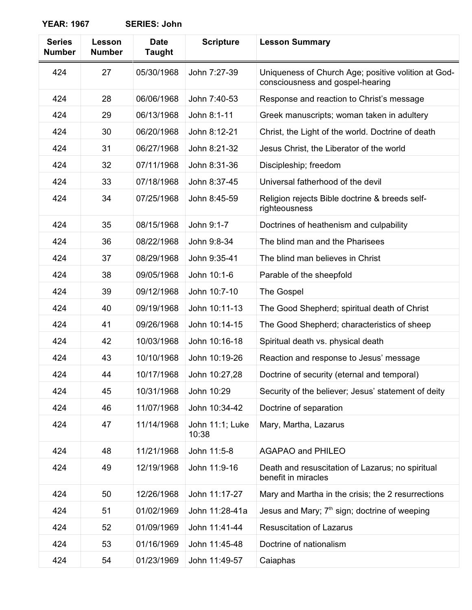| <b>Series</b><br><b>Number</b> | Lesson<br><b>Number</b> | <b>Date</b><br><b>Taught</b> | <b>Scripture</b>         | <b>Lesson Summary</b>                                                                   |
|--------------------------------|-------------------------|------------------------------|--------------------------|-----------------------------------------------------------------------------------------|
| 424                            | 27                      | 05/30/1968                   | John 7:27-39             | Uniqueness of Church Age; positive volition at God-<br>consciousness and gospel-hearing |
| 424                            | 28                      | 06/06/1968                   | John 7:40-53             | Response and reaction to Christ's message                                               |
| 424                            | 29                      | 06/13/1968                   | John 8:1-11              | Greek manuscripts; woman taken in adultery                                              |
| 424                            | 30                      | 06/20/1968                   | John 8:12-21             | Christ, the Light of the world. Doctrine of death                                       |
| 424                            | 31                      | 06/27/1968                   | John 8:21-32             | Jesus Christ, the Liberator of the world                                                |
| 424                            | 32                      | 07/11/1968                   | John 8:31-36             | Discipleship; freedom                                                                   |
| 424                            | 33                      | 07/18/1968                   | John 8:37-45             | Universal fatherhood of the devil                                                       |
| 424                            | 34                      | 07/25/1968                   | John 8:45-59             | Religion rejects Bible doctrine & breeds self-<br>righteousness                         |
| 424                            | 35                      | 08/15/1968                   | John 9:1-7               | Doctrines of heathenism and culpability                                                 |
| 424                            | 36                      | 08/22/1968                   | John 9:8-34              | The blind man and the Pharisees                                                         |
| 424                            | 37                      | 08/29/1968                   | John 9:35-41             | The blind man believes in Christ                                                        |
| 424                            | 38                      | 09/05/1968                   | John 10:1-6              | Parable of the sheepfold                                                                |
| 424                            | 39                      | 09/12/1968                   | John 10:7-10             | The Gospel                                                                              |
| 424                            | 40                      | 09/19/1968                   | John 10:11-13            | The Good Shepherd; spiritual death of Christ                                            |
| 424                            | 41                      | 09/26/1968                   | John 10:14-15            | The Good Shepherd; characteristics of sheep                                             |
| 424                            | 42                      | 10/03/1968                   | John 10:16-18            | Spiritual death vs. physical death                                                      |
| 424                            | 43                      | 10/10/1968                   | John 10:19-26            | Reaction and response to Jesus' message                                                 |
| 424                            | 44                      | 10/17/1968                   | John 10:27,28            | Doctrine of security (eternal and temporal)                                             |
| 424                            | 45                      | 10/31/1968                   | John 10:29               | Security of the believer; Jesus' statement of deity                                     |
| 424                            | 46                      | 11/07/1968                   | John 10:34-42            | Doctrine of separation                                                                  |
| 424                            | 47                      | 11/14/1968                   | John 11:1; Luke<br>10:38 | Mary, Martha, Lazarus                                                                   |
| 424                            | 48                      | 11/21/1968                   | John 11:5-8              | <b>AGAPAO and PHILEO</b>                                                                |
| 424                            | 49                      | 12/19/1968                   | John 11:9-16             | Death and resuscitation of Lazarus; no spiritual<br>benefit in miracles                 |
| 424                            | 50                      | 12/26/1968                   | John 11:17-27            | Mary and Martha in the crisis; the 2 resurrections                                      |
| 424                            | 51                      | 01/02/1969                   | John 11:28-41a           | Jesus and Mary; 7 <sup>th</sup> sign; doctrine of weeping                               |
| 424                            | 52                      | 01/09/1969                   | John 11:41-44            | <b>Resuscitation of Lazarus</b>                                                         |
| 424                            | 53                      | 01/16/1969                   | John 11:45-48            | Doctrine of nationalism                                                                 |
| 424                            | 54                      | 01/23/1969                   | John 11:49-57            | Caiaphas                                                                                |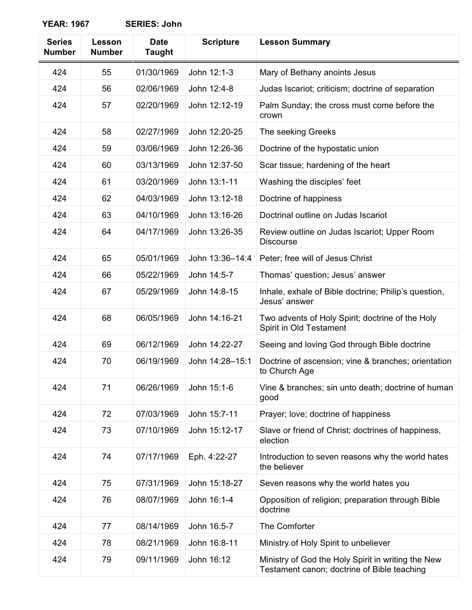| <b>Series</b><br><b>Number</b> | Lesson<br><b>Number</b> | <b>Date</b><br><b>Taught</b> | <b>Scripture</b> | <b>Lesson Summary</b>                                                                             |
|--------------------------------|-------------------------|------------------------------|------------------|---------------------------------------------------------------------------------------------------|
| 424                            | 55                      | 01/30/1969                   | John 12:1-3      | Mary of Bethany anoints Jesus                                                                     |
| 424                            | 56                      | 02/06/1969                   | John 12:4-8      | Judas Iscariot; criticism; doctrine of separation                                                 |
| 424                            | 57                      | 02/20/1969                   | John 12:12-19    | Palm Sunday; the cross must come before the<br>crown                                              |
| 424                            | 58                      | 02/27/1969                   | John 12:20-25    | The seeking Greeks                                                                                |
| 424                            | 59                      | 03/06/1969                   | John 12:26-36    | Doctrine of the hypostatic union                                                                  |
| 424                            | 60                      | 03/13/1969                   | John 12:37-50    | Scar tissue; hardening of the heart                                                               |
| 424                            | 61                      | 03/20/1969                   | John 13:1-11     | Washing the disciples' feet                                                                       |
| 424                            | 62                      | 04/03/1969                   | John 13:12-18    | Doctrine of happiness                                                                             |
| 424                            | 63                      | 04/10/1969                   | John 13:16-26    | Doctrinal outline on Judas Iscariot                                                               |
| 424                            | 64                      | 04/17/1969                   | John 13:26-35    | Review outline on Judas Iscariot; Upper Room<br><b>Discourse</b>                                  |
| 424                            | 65                      | 05/01/1969                   | John 13:36-14:4  | Peter; free will of Jesus Christ                                                                  |
| 424                            | 66                      | 05/22/1969                   | John 14:5-7      | Thomas' question; Jesus' answer                                                                   |
| 424                            | 67                      | 05/29/1969                   | John 14:8-15     | Inhale, exhale of Bible doctrine; Philip's question,<br>Jesus' answer                             |
| 424                            | 68                      | 06/05/1969                   | John 14:16-21    | Two advents of Holy Spirit; doctrine of the Holy<br>Spirit in Old Testament                       |
| 424                            | 69                      | 06/12/1969                   | John 14:22-27    | Seeing and loving God through Bible doctrine                                                      |
| 424                            | 70                      | 06/19/1969                   | John 14:28-15:1  | Doctrine of ascension; vine & branches; orientation<br>to Church Age                              |
| 424                            | 71                      | 06/26/1969                   | John 15:1-6      | Vine & branches; sin unto death; doctrine of human<br>good                                        |
| 424                            | 72                      | 07/03/1969                   | John 15:7-11     | Prayer; love; doctrine of happiness                                                               |
| 424                            | 73                      | 07/10/1969                   | John 15:12-17    | Slave or friend of Christ; doctrines of happiness,<br>election                                    |
| 424                            | 74                      | 07/17/1969                   | Eph. 4:22-27     | Introduction to seven reasons why the world hates<br>the believer                                 |
| 424                            | 75                      | 07/31/1969                   | John 15:18-27    | Seven reasons why the world hates you                                                             |
| 424                            | 76                      | 08/07/1969                   | John 16:1-4      | Opposition of religion; preparation through Bible<br>doctrine                                     |
| 424                            | 77                      | 08/14/1969                   | John 16:5-7      | The Comforter                                                                                     |
| 424                            | 78                      | 08/21/1969                   | John 16:8-11     | Ministry of Holy Spirit to unbeliever                                                             |
| 424                            | 79                      | 09/11/1969                   | John 16:12       | Ministry of God the Holy Spirit in writing the New<br>Testament canon; doctrine of Bible teaching |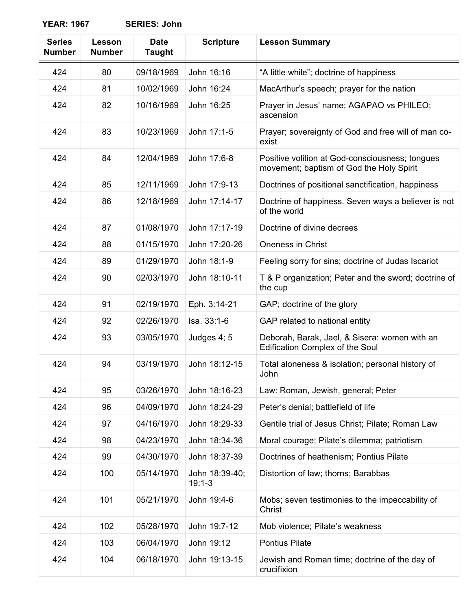| <b>Series</b><br><b>Number</b> | Lesson<br><b>Number</b> | <b>Date</b><br><b>Taught</b> | <b>Scripture</b>           | <b>Lesson Summary</b>                                                                       |
|--------------------------------|-------------------------|------------------------------|----------------------------|---------------------------------------------------------------------------------------------|
| 424                            | 80                      | 09/18/1969                   | John 16:16                 | "A little while"; doctrine of happiness                                                     |
| 424                            | 81                      | 10/02/1969                   | John 16:24                 | MacArthur's speech; prayer for the nation                                                   |
| 424                            | 82                      | 10/16/1969                   | John 16:25                 | Prayer in Jesus' name; AGAPAO vs PHILEO;<br>ascension                                       |
| 424                            | 83                      | 10/23/1969                   | John 17:1-5                | Prayer; sovereignty of God and free will of man co-<br>exist                                |
| 424                            | 84                      | 12/04/1969                   | John 17:6-8                | Positive volition at God-consciousness; tongues<br>movement; baptism of God the Holy Spirit |
| 424                            | 85                      | 12/11/1969                   | John 17:9-13               | Doctrines of positional sanctification, happiness                                           |
| 424                            | 86                      | 12/18/1969                   | John 17:14-17              | Doctrine of happiness. Seven ways a believer is not<br>of the world                         |
| 424                            | 87                      | 01/08/1970                   | John 17:17-19              | Doctrine of divine decrees                                                                  |
| 424                            | 88                      | 01/15/1970                   | John 17:20-26              | <b>Oneness in Christ</b>                                                                    |
| 424                            | 89                      | 01/29/1970                   | John 18:1-9                | Feeling sorry for sins; doctrine of Judas Iscariot                                          |
| 424                            | 90                      | 02/03/1970                   | John 18:10-11              | T & P organization; Peter and the sword; doctrine of<br>the cup                             |
| 424                            | 91                      | 02/19/1970                   | Eph. 3:14-21               | GAP; doctrine of the glory                                                                  |
| 424                            | 92                      | 02/26/1970                   | Isa. 33:1-6                | GAP related to national entity                                                              |
| 424                            | 93                      | 03/05/1970                   | Judges 4; 5                | Deborah, Barak, Jael, & Sisera: women with an<br><b>Edification Complex of the Soul</b>     |
| 424                            | 94                      | 03/19/1970                   | John 18:12-15              | Total aloneness & isolation; personal history of<br>John                                    |
| 424                            | 95                      | 03/26/1970                   | John 18:16-23              | Law: Roman, Jewish, general; Peter                                                          |
| 424                            | 96                      | 04/09/1970                   | John 18:24-29              | Peter's denial; battlefield of life                                                         |
| 424                            | 97                      | 04/16/1970                   | John 18:29-33              | Gentile trial of Jesus Christ; Pilate; Roman Law                                            |
| 424                            | 98                      | 04/23/1970                   | John 18:34-36              | Moral courage; Pilate's dilemma; patriotism                                                 |
| 424                            | 99                      | 04/30/1970                   | John 18:37-39              | Doctrines of heathenism; Pontius Pilate                                                     |
| 424                            | 100                     | 05/14/1970                   | John 18:39-40;<br>$19:1-3$ | Distortion of law; thorns; Barabbas                                                         |
| 424                            | 101                     | 05/21/1970                   | John 19:4-6                | Mobs; seven testimonies to the impeccability of<br>Christ                                   |
| 424                            | 102                     | 05/28/1970                   | John 19:7-12               | Mob violence; Pilate's weakness                                                             |
| 424                            | 103                     | 06/04/1970                   | John 19:12                 | <b>Pontius Pilate</b>                                                                       |
| 424                            | 104                     | 06/18/1970                   | John 19:13-15              | Jewish and Roman time; doctrine of the day of<br>crucifixion                                |